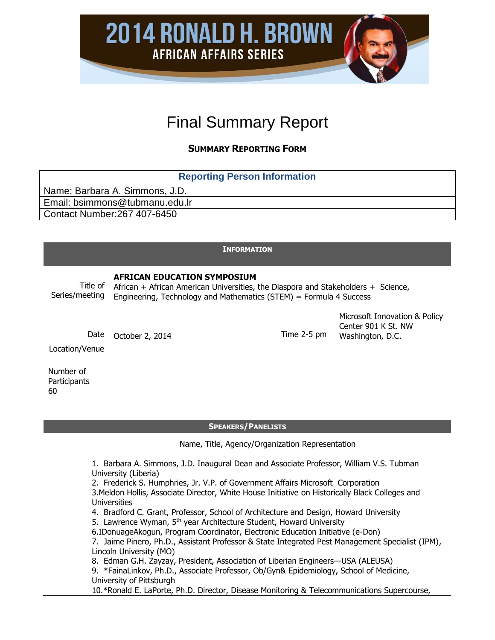Final Summary Report

**2014 RONALD H. BROWN** 

**AFRICAN AFFAIRS SERIES** 

**SUMMARY REPORTING FORM**

| <b>Reporting Person Information</b> |  |  |  |  |
|-------------------------------------|--|--|--|--|
| Name: Barbara A. Simmons, J.D.      |  |  |  |  |
| Email: bsimmons@tubmanu.edu.lr      |  |  |  |  |
| Contact Number:267 407-6450         |  |  |  |  |

## **INFORMATION**

# **AFRICAN EDUCATION SYMPOSIUM**

Title of Series/meeting African + African American Universities, the Diaspora and Stakeholders + Science, Engineering, Technology and Mathematics (STEM) = Formula 4 Success

Date October 2, 2014 Contact Contact Time 2-5 pm

Microsoft Innovation & Policy Center 901 K St. NW Washington, D.C.

Location/Venue

Number of **Participants** 60

#### **SPEAKERS/PANELISTS**

Name, Title, Agency/Organization Representation

1. Barbara A. Simmons, J.D. Inaugural Dean and Associate Professor, William V.S. Tubman University (Liberia)

2. Frederick S. Humphries, Jr. V.P. of Government Affairs Microsoft Corporation

3.Meldon Hollis, Associate Director, White House Initiative on Historically Black Colleges and **Universities** 

4. Bradford C. Grant, Professor, School of Architecture and Design, Howard University

5. Lawrence Wyman, 5<sup>th</sup> year Architecture Student, Howard University

6.IDonuageAkogun, Program Coordinator, Electronic Education Initiative (e-Don)

7. Jaime Pinero, Ph.D., Assistant Professor & State Integrated Pest Management Specialist (IPM), Lincoln University (MO)

8. Edman G.H. Zayzay, President, Association of Liberian Engineers—USA (ALEUSA)

9. \*FainaLinkov, Ph.D., Associate Professor, Ob/Gyn& Epidemiology, School of Medicine, University of Pittsburgh

10.\*Ronald E. LaPorte, Ph.D. Director, Disease Monitoring & Telecommunications Supercourse,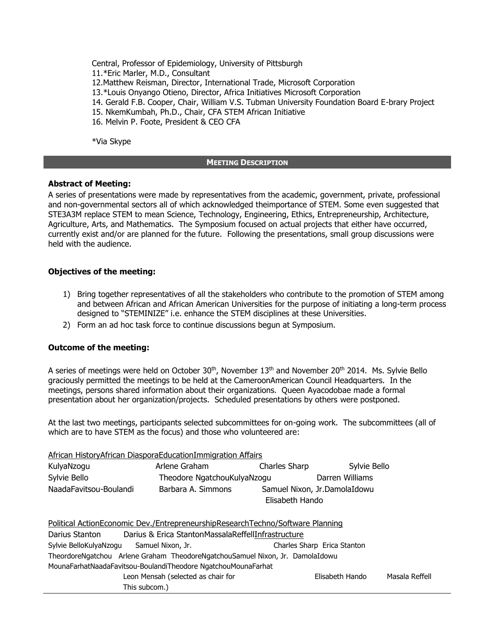Central, Professor of Epidemiology, University of Pittsburgh 11.\*Eric Marler, M.D., Consultant 12.Matthew Reisman, Director, International Trade, Microsoft Corporation 13.\*Louis Onyango Otieno, Director, Africa Initiatives Microsoft Corporation 14. Gerald F.B. Cooper, Chair, William V.S. Tubman University Foundation Board E-brary Project 15. NkemKumbah, Ph.D., Chair, CFA STEM African Initiative 16. Melvin P. Foote, President & CEO CFA

\*Via Skype

## **MEETING DESCRIPTION**

# **Abstract of Meeting:**

A series of presentations were made by representatives from the academic, government, private, professional and non-governmental sectors all of which acknowledged theimportance of STEM. Some even suggested that STE3A3M replace STEM to mean Science, Technology, Engineering, Ethics, Entrepreneurship, Architecture, Agriculture, Arts, and Mathematics. The Symposium focused on actual projects that either have occurred, currently exist and/or are planned for the future. Following the presentations, small group discussions were held with the audience.

# **Objectives of the meeting:**

- 1) Bring together representatives of all the stakeholders who contribute to the promotion of STEM among and between African and African American Universities for the purpose of initiating a long-term process designed to "STEMINIZE" i.e. enhance the STEM disciplines at these Universities.
- 2) Form an ad hoc task force to continue discussions begun at Symposium.

## **Outcome of the meeting:**

A series of meetings were held on October 30<sup>th</sup>, November  $13<sup>th</sup>$  and November 20<sup>th</sup> 2014. Ms. Sylvie Bello graciously permitted the meetings to be held at the CameroonAmerican Council Headquarters. In the meetings, persons shared information about their organizations. Queen Ayacodobae made a formal presentation about her organization/projects. Scheduled presentations by others were postponed.

At the last two meetings, participants selected subcommittees for on-going work. The subcommittees (all of which are to have STEM as the focus) and those who volunteered are:

|                                                                               | <b>African HistoryAfrican DiasporaEducationImmigration Affairs</b>             |                                                 |                             |                |  |
|-------------------------------------------------------------------------------|--------------------------------------------------------------------------------|-------------------------------------------------|-----------------------------|----------------|--|
| KulyaNzogu                                                                    | Arlene Graham                                                                  | Charles Sharp                                   | Sylvie Bello                |                |  |
| Sylvie Bello                                                                  | Theodore NgatchouKulyaNzogu                                                    |                                                 | Darren Williams             |                |  |
| NaadaFavitsou-Boulandi                                                        | Barbara A. Simmons                                                             | Samuel Nixon, Jr.DamolaIdowu<br>Elisabeth Hando |                             |                |  |
|                                                                               | Political ActionEconomic Dev./EntrepreneurshipResearchTechno/Software Planning |                                                 |                             |                |  |
| Darius Stanton                                                                | Darius & Erica StantonMassalaReffellInfrastructure                             |                                                 |                             |                |  |
| Sylvie BelloKulyaNzogu Samuel Nixon, Jr.                                      |                                                                                |                                                 | Charles Sharp Erica Stanton |                |  |
| TheordoreNgatchou Arlene Graham TheodoreNgatchouSamuel Nixon, Jr. DamolaIdowu |                                                                                |                                                 |                             |                |  |
|                                                                               | MounaFarhatNaadaFavitsou-BoulandiTheodore NgatchouMounaFarhat                  |                                                 |                             |                |  |
| Leon Mensah (selected as chair for                                            |                                                                                |                                                 | Elisabeth Hando             | Masala Reffell |  |
| This subcom.)                                                                 |                                                                                |                                                 |                             |                |  |